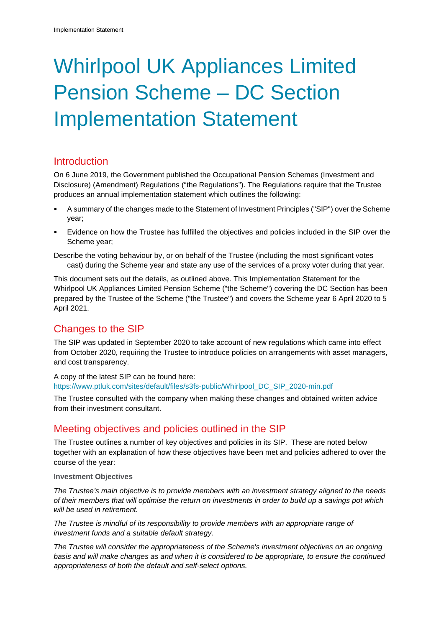# Whirlpool UK Appliances Limited Pension Scheme – DC Section Implementation Statement

## Introduction

On 6 June 2019, the Government published the Occupational Pension Schemes (Investment and Disclosure) (Amendment) Regulations ("the Regulations"). The Regulations require that the Trustee produces an annual implementation statement which outlines the following:

- A summary of the changes made to the Statement of Investment Principles ("SIP") over the Scheme year;
- Evidence on how the Trustee has fulfilled the objectives and policies included in the SIP over the Scheme year;

Describe the voting behaviour by, or on behalf of the Trustee (including the most significant votes cast) during the Scheme year and state any use of the services of a proxy voter during that year.

This document sets out the details, as outlined above. This Implementation Statement for the Whirlpool UK Appliances Limited Pension Scheme ("the Scheme") covering the DC Section has been prepared by the Trustee of the Scheme ("the Trustee") and covers the Scheme year 6 April 2020 to 5 April 2021.

# Changes to the SIP

The SIP was updated in September 2020 to take account of new regulations which came into effect from October 2020, requiring the Trustee to introduce policies on arrangements with asset managers, and cost transparency.

A copy of the latest SIP can be found here:

[https://www.ptluk.com/sites/default/files/s3fs-public/Whirlpool\\_DC\\_SIP\\_2020-min.pdf](https://docs.hartlinkonline.co.uk/repo?docid=bFy77CHCkUWY55Db_6pSMw)

The Trustee consulted with the company when making these changes and obtained written advice from their investment consultant.

# Meeting objectives and policies outlined in the SIP

The Trustee outlines a number of key objectives and policies in its SIP. These are noted below together with an explanation of how these objectives have been met and policies adhered to over the course of the year:

**Investment Objectives**

*The Trustee's main objective is to provide members with an investment strategy aligned to the needs of their members that will optimise the return on investments in order to build up a savings pot which will be used in retirement.*

The Trustee is mindful of its responsibility to provide members with an appropriate range of *investment funds and a suitable default strategy.*

*The Trustee will consider the appropriateness of the Scheme's investment objectives on an ongoing basis and will make changes as and when it is considered to be appropriate, to ensure the continued appropriateness of both the default and self-select options.*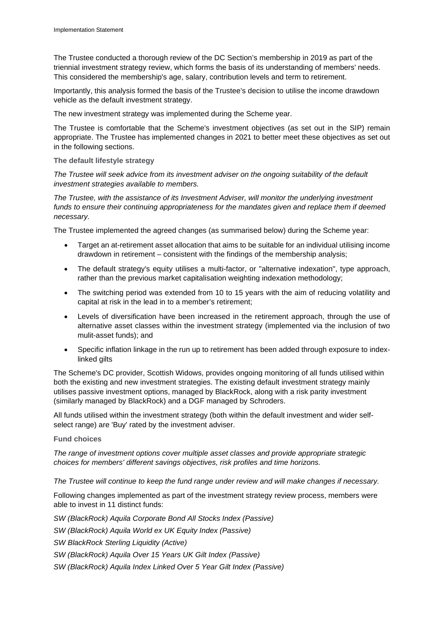The Trustee conducted a thorough review of the DC Section's membership in 2019 as part of the triennial investment strategy review, which forms the basis of its understanding of members' needs. This considered the membership's age, salary, contribution levels and term to retirement.

Importantly, this analysis formed the basis of the Trustee's decision to utilise the income drawdown vehicle as the default investment strategy.

The new investment strategy was implemented during the Scheme year.

The Trustee is comfortable that the Scheme's investment objectives (as set out in the SIP) remain appropriate. The Trustee has implemented changes in 2021 to better meet these objectives as set out in the following sections.

#### **The default lifestyle strategy**

*The Trustee will seek advice from its investment adviser on the ongoing suitability of the default investment strategies available to members.* 

*The Trustee, with the assistance of its Investment Adviser, will monitor the underlying investment funds to ensure their continuing appropriateness for the mandates given and replace them if deemed necessary.*

The Trustee implemented the agreed changes (as summarised below) during the Scheme year:

- Target an at-retirement asset allocation that aims to be suitable for an individual utilising income drawdown in retirement – consistent with the findings of the membership analysis;
- The default strategy's equity utilises a multi-factor, or "alternative indexation", type approach, rather than the previous market capitalisation weighting indexation methodology;
- The switching period was extended from 10 to 15 years with the aim of reducing volatility and capital at risk in the lead in to a member's retirement;
- Levels of diversification have been increased in the retirement approach, through the use of alternative asset classes within the investment strategy (implemented via the inclusion of two mulit-asset funds); and
- Specific inflation linkage in the run up to retirement has been added through exposure to indexlinked gilts

The Scheme's DC provider, Scottish Widows, provides ongoing monitoring of all funds utilised within both the existing and new investment strategies. The existing default investment strategy mainly utilises passive investment options, managed by BlackRock, along with a risk parity investment (similarly managed by BlackRock) and a DGF managed by Schroders.

All funds utilised within the investment strategy (both within the default investment and wider selfselect range) are 'Buy' rated by the investment adviser.

#### **Fund choices**

*The range of investment options cover multiple asset classes and provide appropriate strategic choices for members' different savings objectives, risk profiles and time horizons.*

*The Trustee will continue to keep the fund range under review and will make changes if necessary.*

Following changes implemented as part of the investment strategy review process, members were able to invest in 11 distinct funds:

*SW (BlackRock) Aquila Corporate Bond All Stocks Index (Passive) SW (BlackRock) Aquila World ex UK Equity Index (Passive) SW BlackRock Sterling Liquidity (Active) SW (BlackRock) Aquila Over 15 Years UK Gilt Index (Passive) SW (BlackRock) Aquila Index Linked Over 5 Year Gilt Index (Passive)*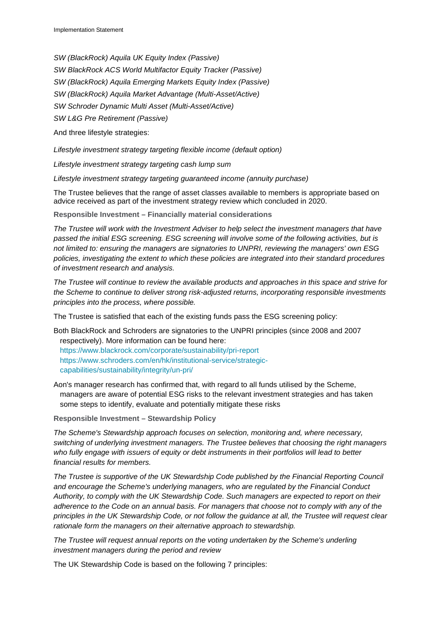*SW (BlackRock) Aquila UK Equity Index (Passive) SW BlackRock ACS World Multifactor Equity Tracker (Passive) SW (BlackRock) Aquila Emerging Markets Equity Index (Passive) SW (BlackRock) Aquila Market Advantage (Multi-Asset/Active) SW Schroder Dynamic Multi Asset (Multi-Asset/Active) SW L&G Pre Retirement (Passive)*

And three lifestyle strategies:

*Lifestyle investment strategy targeting flexible income (default option)*

*Lifestyle investment strategy targeting cash lump sum*

*Lifestyle investment strategy targeting guaranteed income (annuity purchase)*

The Trustee believes that the range of asset classes available to members is appropriate based on advice received as part of the investment strategy review which concluded in 2020.

**Responsible Investment – Financially material considerations** 

*The Trustee will work with the Investment Adviser to help select the investment managers that have passed the initial ESG screening. ESG screening will involve some of the following activities, but is not limited to: ensuring the managers are signatories to UNPRI, reviewing the managers' own ESG policies, investigating the extent to which these policies are integrated into their standard procedures of investment research and analysis.*

*The Trustee will continue to review the available products and approaches in this space and strive for the Scheme to continue to deliver strong risk-adjusted returns, incorporating responsible investments principles into the process, where possible.*

The Trustee is satisfied that each of the existing funds pass the ESG screening policy:

Both BlackRock and Schroders are signatories to the UNPRI principles (since 2008 and 2007 respectively). More information can be found here: <https://www.blackrock.com/corporate/sustainability/pri-report> [https://www.schroders.com/en/hk/institutional-service/strategic](https://www.schroders.com/en/hk/institutional-service/strategic-capabilities/sustainability/integrity/un-pri/)[capabilities/sustainability/integrity/un-pri/](https://www.schroders.com/en/hk/institutional-service/strategic-capabilities/sustainability/integrity/un-pri/)

Aon's manager research has confirmed that, with regard to all funds utilised by the Scheme, managers are aware of potential ESG risks to the relevant investment strategies and has taken some steps to identify, evaluate and potentially mitigate these risks

**Responsible Investment – Stewardship Policy**

*The Scheme's Stewardship approach focuses on selection, monitoring and, where necessary, switching of underlying investment managers. The Trustee believes that choosing the right managers who fully engage with issuers of equity or debt instruments in their portfolios will lead to better financial results for members.*

*The Trustee is supportive of the UK Stewardship Code published by the Financial Reporting Council and encourage the Scheme's underlying managers, who are regulated by the Financial Conduct Authority, to comply with the UK Stewardship Code. Such managers are expected to report on their adherence to the Code on an annual basis. For managers that choose not to comply with any of the principles in the UK Stewardship Code, or not follow the guidance at all, the Trustee will request clear rationale form the managers on their alternative approach to stewardship.*

*The Trustee will request annual reports on the voting undertaken by the Scheme's underling investment managers during the period and review*

The UK Stewardship Code is based on the following 7 principles: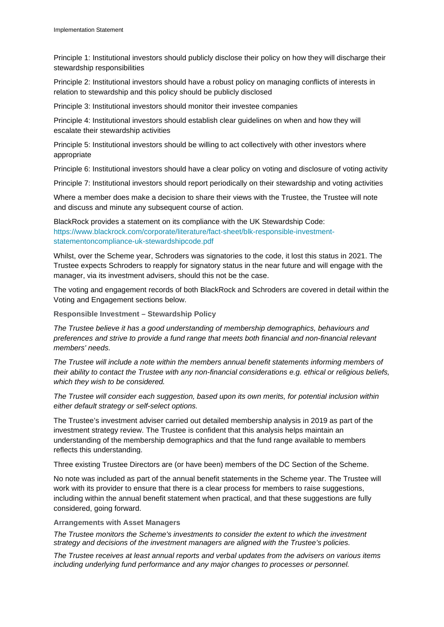Principle 1: Institutional investors should publicly disclose their policy on how they will discharge their stewardship responsibilities

Principle 2: Institutional investors should have a robust policy on managing conflicts of interests in relation to stewardship and this policy should be publicly disclosed

Principle 3: Institutional investors should monitor their investee companies

Principle 4: Institutional investors should establish clear guidelines on when and how they will escalate their stewardship activities

Principle 5: Institutional investors should be willing to act collectively with other investors where appropriate

Principle 6: Institutional investors should have a clear policy on voting and disclosure of voting activity

Principle 7: Institutional investors should report periodically on their stewardship and voting activities

Where a member does make a decision to share their views with the Trustee, the Trustee will note and discuss and minute any subsequent course of action.

BlackRock provides a statement on its compliance with the UK Stewardship Code: [https://www.blackrock.com/corporate/literature/fact-sheet/blk-responsible-investment](https://www.blackrock.com/corporate/literature/fact-sheet/blk-responsible-investment-statementoncompliance-uk-stewardshipcode.pdf)[statementoncompliance-uk-stewardshipcode.pdf](https://www.blackrock.com/corporate/literature/fact-sheet/blk-responsible-investment-statementoncompliance-uk-stewardshipcode.pdf) 

Whilst, over the Scheme year, Schroders was signatories to the code, it lost this status in 2021. The Trustee expects Schroders to reapply for signatory status in the near future and will engage with the manager, via its investment advisers, should this not be the case.

The voting and engagement records of both BlackRock and Schroders are covered in detail within the Voting and Engagement sections below.

**Responsible Investment – Stewardship Policy**

*The Trustee believe it has a good understanding of membership demographics, behaviours and preferences and strive to provide a fund range that meets both financial and non-financial relevant members' needs.*

*The Trustee will include a note within the members annual benefit statements informing members of their ability to contact the Trustee with any non-financial considerations e.g. ethical or religious beliefs, which they wish to be considered.*

*The Trustee will consider each suggestion, based upon its own merits, for potential inclusion within either default strategy or self-select options.*

The Trustee's investment adviser carried out detailed membership analysis in 2019 as part of the investment strategy review. The Trustee is confident that this analysis helps maintain an understanding of the membership demographics and that the fund range available to members reflects this understanding.

Three existing Trustee Directors are (or have been) members of the DC Section of the Scheme.

No note was included as part of the annual benefit statements in the Scheme year. The Trustee will work with its provider to ensure that there is a clear process for members to raise suggestions, including within the annual benefit statement when practical, and that these suggestions are fully considered, going forward.

#### **Arrangements with Asset Managers**

*The Trustee monitors the Scheme's investments to consider the extent to which the investment strategy and decisions of the investment managers are aligned with the Trustee's policies.*

*The Trustee receives at least annual reports and verbal updates from the advisers on various items including underlying fund performance and any major changes to processes or personnel.*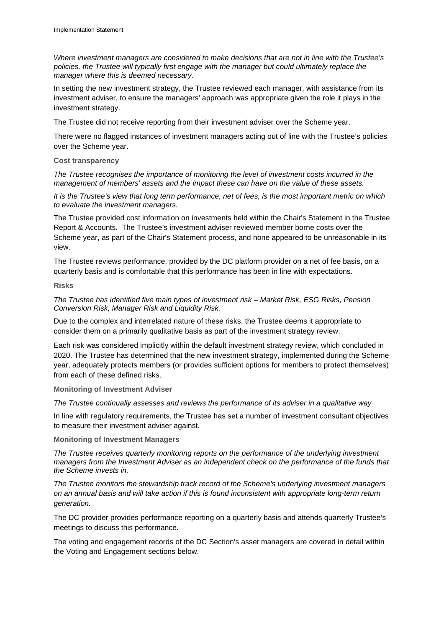*Where investment managers are considered to make decisions that are not in line with the Trustee's policies, the Trustee will typically first engage with the manager but could ultimately replace the manager where this is deemed necessary.*

In setting the new investment strategy, the Trustee reviewed each manager, with assistance from its investment adviser, to ensure the managers' approach was appropriate given the role it plays in the investment strategy.

The Trustee did not receive reporting from their investment adviser over the Scheme year.

There were no flagged instances of investment managers acting out of line with the Trustee's policies over the Scheme year.

#### **Cost transparency**

*The Trustee recognises the importance of monitoring the level of investment costs incurred in the management of members' assets and the impact these can have on the value of these assets.*

*It is the Trustee's view that long term performance, net of fees, is the most important metric on which to evaluate the investment managers.*

The Trustee provided cost information on investments held within the Chair's Statement in the Trustee Report & Accounts. The Trustee's investment adviser reviewed member borne costs over the Scheme year, as part of the Chair's Statement process, and none appeared to be unreasonable in its view.

The Trustee reviews performance, provided by the DC platform provider on a net of fee basis, on a quarterly basis and is comfortable that this performance has been in line with expectations.

#### **Risks**

*The Trustee has identified five main types of investment risk – Market Risk, ESG Risks, Pension Conversion Risk, Manager Risk and Liquidity Risk.* 

Due to the complex and interrelated nature of these risks, the Trustee deems it appropriate to consider them on a primarily qualitative basis as part of the investment strategy review.

Each risk was considered implicitly within the default investment strategy review, which concluded in 2020. The Trustee has determined that the new investment strategy, implemented during the Scheme year, adequately protects members (or provides sufficient options for members to protect themselves) from each of these defined risks.

#### **Monitoring of Investment Adviser**

*The Trustee continually assesses and reviews the performance of its adviser in a qualitative way* 

In line with regulatory requirements, the Trustee has set a number of investment consultant objectives to measure their investment adviser against.

#### **Monitoring of Investment Managers**

*The Trustee receives quarterly monitoring reports on the performance of the underlying investment managers from the Investment Adviser as an independent check on the performance of the funds that the Scheme invests in.*

*The Trustee monitors the stewardship track record of the Scheme's underlying investment managers on an annual basis and will take action if this is found inconsistent with appropriate long-term return generation.*

The DC provider provides performance reporting on a quarterly basis and attends quarterly Trustee's meetings to discuss this performance.

The voting and engagement records of the DC Section's asset managers are covered in detail within the Voting and Engagement sections below.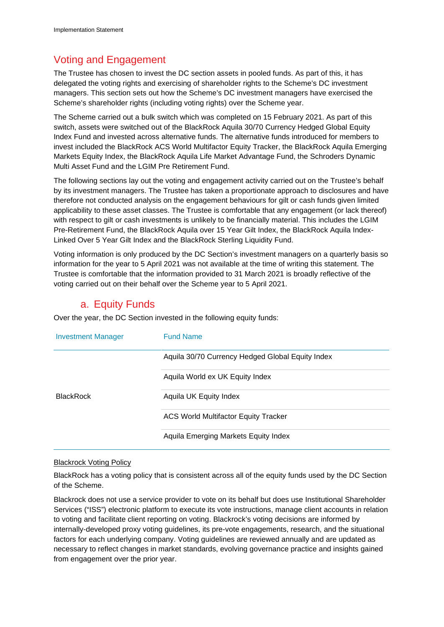# Voting and Engagement

The Trustee has chosen to invest the DC section assets in pooled funds. As part of this, it has delegated the voting rights and exercising of shareholder rights to the Scheme's DC investment managers. This section sets out how the Scheme's DC investment managers have exercised the Scheme's shareholder rights (including voting rights) over the Scheme year.

The Scheme carried out a bulk switch which was completed on 15 February 2021. As part of this switch, assets were switched out of the BlackRock Aquila 30/70 Currency Hedged Global Equity Index Fund and invested across alternative funds. The alternative funds introduced for members to invest included the BlackRock ACS World Multifactor Equity Tracker, the BlackRock Aquila Emerging Markets Equity Index, the BlackRock Aquila Life Market Advantage Fund, the Schroders Dynamic Multi Asset Fund and the LGIM Pre Retirement Fund.

The following sections lay out the voting and engagement activity carried out on the Trustee's behalf by its investment managers. The Trustee has taken a proportionate approach to disclosures and have therefore not conducted analysis on the engagement behaviours for gilt or cash funds given limited applicability to these asset classes. The Trustee is comfortable that any engagement (or lack thereof) with respect to gilt or cash investments is unlikely to be financially material. This includes the LGIM Pre-Retirement Fund, the BlackRock Aquila over 15 Year Gilt Index, the BlackRock Aquila Index-Linked Over 5 Year Gilt Index and the BlackRock Sterling Liquidity Fund.

Voting information is only produced by the DC Section's investment managers on a quarterly basis so information for the year to 5 April 2021 was not available at the time of writing this statement. The Trustee is comfortable that the information provided to 31 March 2021 is broadly reflective of the voting carried out on their behalf over the Scheme year to 5 April 2021.

## a. Equity Funds

Over the year, the DC Section invested in the following equity funds:

| <b>Investment Manager</b> | <b>Fund Name</b>                                 |  |  |  |
|---------------------------|--------------------------------------------------|--|--|--|
|                           | Aquila 30/70 Currency Hedged Global Equity Index |  |  |  |
|                           | Aquila World ex UK Equity Index                  |  |  |  |
| <b>BlackRock</b>          | Aquila UK Equity Index                           |  |  |  |
|                           | <b>ACS World Multifactor Equity Tracker</b>      |  |  |  |
|                           | Aquila Emerging Markets Equity Index             |  |  |  |

#### Blackrock Voting Policy

BlackRock has a voting policy that is consistent across all of the equity funds used by the DC Section of the Scheme.

Blackrock does not use a service provider to vote on its behalf but does use Institutional Shareholder Services ("ISS") electronic platform to execute its vote instructions, manage client accounts in relation to voting and facilitate client reporting on voting. Blackrock's voting decisions are informed by internally-developed proxy voting guidelines, its pre-vote engagements, research, and the situational factors for each underlying company. Voting guidelines are reviewed annually and are updated as necessary to reflect changes in market standards, evolving governance practice and insights gained from engagement over the prior year.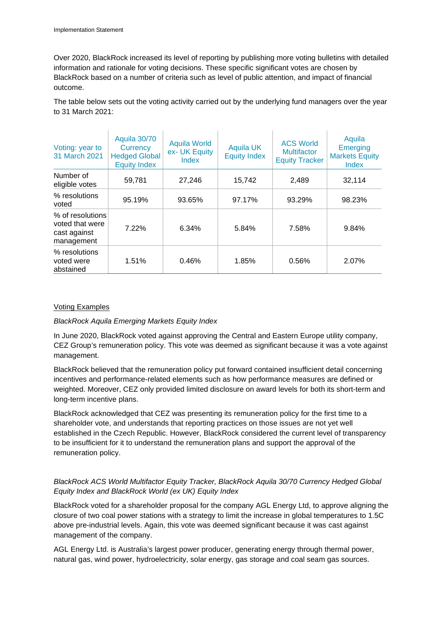Over 2020, BlackRock increased its level of reporting by publishing more voting bulletins with detailed information and rationale for voting decisions. These specific significant votes are chosen by BlackRock based on a number of criteria such as level of public attention, and impact of financial outcome.

The table below sets out the voting activity carried out by the underlying fund managers over the year to 31 March 2021:

| Voting: year to<br>31 March 2021                                  | Aquila 30/70<br>Currency<br><b>Hedged Global</b><br><b>Equity Index</b> | <b>Aquila World</b><br>ex- UK Equity<br>Index | <b>Aquila UK</b><br><b>Equity Index</b> | <b>ACS World</b><br><b>Multifactor</b><br><b>Equity Tracker</b> | Aquila<br><b>Emerging</b><br><b>Markets Equity</b><br><b>Index</b> |
|-------------------------------------------------------------------|-------------------------------------------------------------------------|-----------------------------------------------|-----------------------------------------|-----------------------------------------------------------------|--------------------------------------------------------------------|
| Number of<br>eligible votes                                       | 59.781                                                                  | 27.246                                        | 15.742                                  | 2.489                                                           | 32,114                                                             |
| % resolutions<br>voted                                            | 95.19%                                                                  | 93.65%                                        | 97.17%                                  | 93.29%                                                          | 98.23%                                                             |
| % of resolutions<br>voted that were<br>cast against<br>management | 7.22%                                                                   | 6.34%                                         | 5.84%                                   | 7.58%                                                           | 9.84%                                                              |
| % resolutions<br>voted were<br>abstained                          | 1.51%                                                                   | 0.46%                                         | 1.85%                                   | 0.56%                                                           | 2.07%                                                              |

#### Voting Examples

#### *BlackRock Aquila Emerging Markets Equity Index*

In June 2020, BlackRock voted against approving the Central and Eastern Europe utility company, CEZ Group's remuneration policy. This vote was deemed as significant because it was a vote against management.

BlackRock believed that the remuneration policy put forward contained insufficient detail concerning incentives and performance-related elements such as how performance measures are defined or weighted. Moreover, CEZ only provided limited disclosure on award levels for both its short-term and long-term incentive plans.

BlackRock acknowledged that CEZ was presenting its remuneration policy for the first time to a shareholder vote, and understands that reporting practices on those issues are not yet well established in the Czech Republic. However, BlackRock considered the current level of transparency to be insufficient for it to understand the remuneration plans and support the approval of the remuneration policy.

#### *BlackRock ACS World Multifactor Equity Tracker, BlackRock Aquila 30/70 Currency Hedged Global Equity Index and BlackRock World (ex UK) Equity Index*

BlackRock voted for a shareholder proposal for the company AGL Energy Ltd, to approve aligning the closure of two coal power stations with a strategy to limit the increase in global temperatures to 1.5C above pre-industrial levels. Again, this vote was deemed significant because it was cast against management of the company.

AGL Energy Ltd. is Australia's largest power producer, generating energy through thermal power, natural gas, wind power, hydroelectricity, solar energy, gas storage and coal seam gas sources.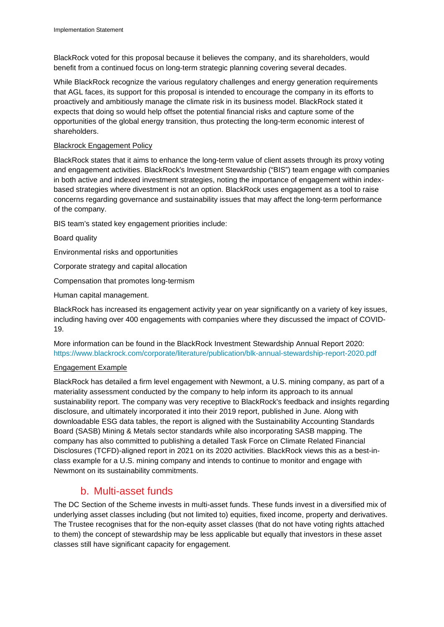BlackRock voted for this proposal because it believes the company, and its shareholders, would benefit from a continued focus on long-term strategic planning covering several decades.

While BlackRock recognize the various regulatory challenges and energy generation requirements that AGL faces, its support for this proposal is intended to encourage the company in its efforts to proactively and ambitiously manage the climate risk in its business model. BlackRock stated it expects that doing so would help offset the potential financial risks and capture some of the opportunities of the global energy transition, thus protecting the long-term economic interest of shareholders.

#### Blackrock Engagement Policy

BlackRock states that it aims to enhance the long-term value of client assets through its proxy voting and engagement activities. BlackRock's Investment Stewardship ("BIS") team engage with companies in both active and indexed investment strategies, noting the importance of engagement within indexbased strategies where divestment is not an option. BlackRock uses engagement as a tool to raise concerns regarding governance and sustainability issues that may affect the long-term performance of the company.

BIS team's stated key engagement priorities include:

Board quality

Environmental risks and opportunities

Corporate strategy and capital allocation

Compensation that promotes long-termism

Human capital management.

BlackRock has increased its engagement activity year on year significantly on a variety of key issues, including having over 400 engagements with companies where they discussed the impact of COVID-19.

More information can be found in the BlackRock Investment Stewardship Annual Report 2020: <https://www.blackrock.com/corporate/literature/publication/blk-annual-stewardship-report-2020.pdf>

#### Engagement Example

BlackRock has detailed a firm level engagement with Newmont, a U.S. mining company, as part of a materiality assessment conducted by the company to help inform its approach to its annual sustainability report. The company was very receptive to BlackRock's feedback and insights regarding disclosure, and ultimately incorporated it into their 2019 report, published in June. Along with downloadable ESG data tables, the report is aligned with the Sustainability Accounting Standards Board (SASB) Mining & Metals sector standards while also incorporating SASB mapping. The company has also committed to publishing a detailed Task Force on Climate Related Financial Disclosures (TCFD)-aligned report in 2021 on its 2020 activities. BlackRock views this as a best-inclass example for a U.S. mining company and intends to continue to monitor and engage with Newmont on its sustainability commitments.

## b. Multi-asset funds

The DC Section of the Scheme invests in multi-asset funds. These funds invest in a diversified mix of underlying asset classes including (but not limited to) equities, fixed income, property and derivatives. The Trustee recognises that for the non-equity asset classes (that do not have voting rights attached to them) the concept of stewardship may be less applicable but equally that investors in these asset classes still have significant capacity for engagement.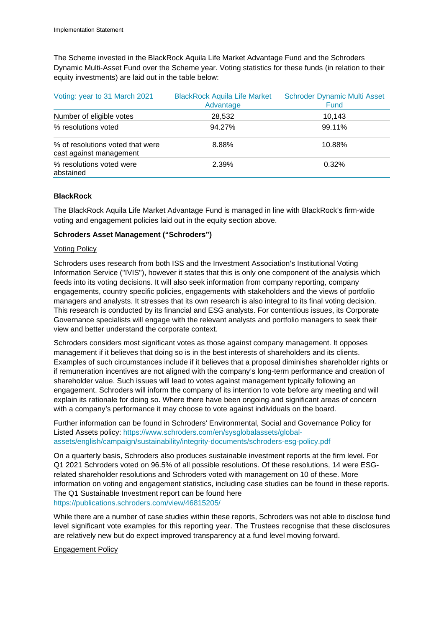The Scheme invested in the BlackRock Aquila Life Market Advantage Fund and the Schroders Dynamic Multi-Asset Fund over the Scheme year. Voting statistics for these funds (in relation to their equity investments) are laid out in the table below:

| Voting: year to 31 March 2021                               | <b>BlackRock Aquila Life Market</b><br>Advantage | <b>Schroder Dynamic Multi Asset</b><br><b>Fund</b> |
|-------------------------------------------------------------|--------------------------------------------------|----------------------------------------------------|
| Number of eligible votes                                    | 28,532                                           | 10,143                                             |
| % resolutions voted                                         | 94.27%                                           | 99.11%                                             |
| % of resolutions voted that were<br>cast against management | 8.88%                                            | 10.88%                                             |
| % resolutions voted were<br>abstained                       | 2.39%                                            | 0.32%                                              |

#### **BlackRock**

The BlackRock Aquila Life Market Advantage Fund is managed in line with BlackRock's firm-wide voting and engagement policies laid out in the equity section above.

#### **Schroders Asset Management ("Schroders")**

#### Voting Policy

Schroders uses research from both ISS and the Investment Association's Institutional Voting Information Service ("IVIS"), however it states that this is only one component of the analysis which feeds into its voting decisions. It will also seek information from company reporting, company engagements, country specific policies, engagements with stakeholders and the views of portfolio managers and analysts. It stresses that its own research is also integral to its final voting decision. This research is conducted by its financial and ESG analysts. For contentious issues, its Corporate Governance specialists will engage with the relevant analysts and portfolio managers to seek their view and better understand the corporate context.

Schroders considers most significant votes as those against company management. It opposes management if it believes that doing so is in the best interests of shareholders and its clients. Examples of such circumstances include if it believes that a proposal diminishes shareholder rights or if remuneration incentives are not aligned with the company's long-term performance and creation of shareholder value. Such issues will lead to votes against management typically following an engagement. Schroders will inform the company of its intention to vote before any meeting and will explain its rationale for doing so. Where there have been ongoing and significant areas of concern with a company's performance it may choose to vote against individuals on the board.

Further information can be found in Schroders' Environmental, Social and Governance Policy for Listed Assets policy: [https://www.schroders.com/en/sysglobalassets/global](https://www.schroders.com/en/sysglobalassets/global-assets/english/campaign/sustainability/integrity-documents/schroders-esg-policy.pdf)[assets/english/campaign/sustainability/integrity-documents/schroders-esg-policy.pdf](https://www.schroders.com/en/sysglobalassets/global-assets/english/campaign/sustainability/integrity-documents/schroders-esg-policy.pdf)

On a quarterly basis, Schroders also produces sustainable investment reports at the firm level. For Q1 2021 Schroders voted on 96.5% of all possible resolutions. Of these resolutions, 14 were ESGrelated shareholder resolutions and Schroders voted with management on 10 of these. More information on voting and engagement statistics, including case studies can be found in these reports. The Q1 Sustainable Investment report can be found here <https://publications.schroders.com/view/46815205/>

While there are a number of case studies within these reports, Schroders was not able to disclose fund level significant vote examples for this reporting year. The Trustees recognise that these disclosures are relatively new but do expect improved transparency at a fund level moving forward.

#### Engagement Policy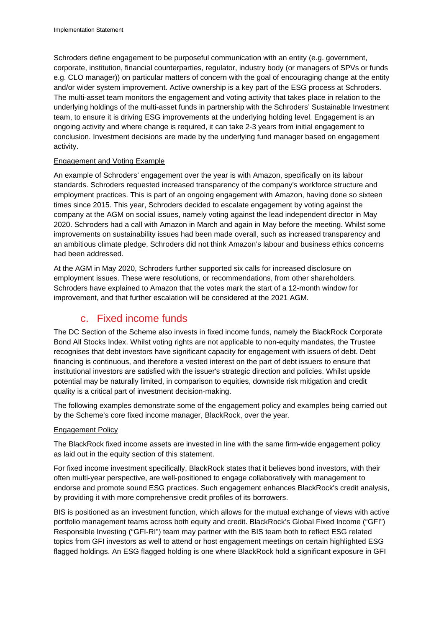Schroders define engagement to be purposeful communication with an entity (e.g. government, corporate, institution, financial counterparties, regulator, industry body (or managers of SPVs or funds e.g. CLO manager)) on particular matters of concern with the goal of encouraging change at the entity and/or wider system improvement. Active ownership is a key part of the ESG process at Schroders. The multi-asset team monitors the engagement and voting activity that takes place in relation to the underlying holdings of the multi-asset funds in partnership with the Schroders' Sustainable Investment team, to ensure it is driving ESG improvements at the underlying holding level. Engagement is an ongoing activity and where change is required, it can take 2-3 years from initial engagement to conclusion. Investment decisions are made by the underlying fund manager based on engagement activity.

#### Engagement and Voting Example

An example of Schroders' engagement over the year is with Amazon, specifically on its labour standards. Schroders requested increased transparency of the company's workforce structure and employment practices. This is part of an ongoing engagement with Amazon, having done so sixteen times since 2015. This year, Schroders decided to escalate engagement by voting against the company at the AGM on social issues, namely voting against the lead independent director in May 2020. Schroders had a call with Amazon in March and again in May before the meeting. Whilst some improvements on sustainability issues had been made overall, such as increased transparency and an ambitious climate pledge, Schroders did not think Amazon's labour and business ethics concerns had been addressed.

At the AGM in May 2020, Schroders further supported six calls for increased disclosure on employment issues. These were resolutions, or recommendations, from other shareholders. Schroders have explained to Amazon that the votes mark the start of a 12-month window for improvement, and that further escalation will be considered at the 2021 AGM.

# c. Fixed income funds

The DC Section of the Scheme also invests in fixed income funds, namely the BlackRock Corporate Bond All Stocks Index. Whilst voting rights are not applicable to non-equity mandates, the Trustee recognises that debt investors have significant capacity for engagement with issuers of debt. Debt financing is continuous, and therefore a vested interest on the part of debt issuers to ensure that institutional investors are satisfied with the issuer's strategic direction and policies. Whilst upside potential may be naturally limited, in comparison to equities, downside risk mitigation and credit quality is a critical part of investment decision-making.

The following examples demonstrate some of the engagement policy and examples being carried out by the Scheme's core fixed income manager, BlackRock, over the year.

#### Engagement Policy

The BlackRock fixed income assets are invested in line with the same firm-wide engagement policy as laid out in the equity section of this statement.

For fixed income investment specifically, BlackRock states that it believes bond investors, with their often multi-year perspective, are well-positioned to engage collaboratively with management to endorse and promote sound ESG practices. Such engagement enhances BlackRock's credit analysis, by providing it with more comprehensive credit profiles of its borrowers.

BIS is positioned as an investment function, which allows for the mutual exchange of views with active portfolio management teams across both equity and credit. BlackRock's Global Fixed Income ("GFI") Responsible Investing ("GFI-RI") team may partner with the BIS team both to reflect ESG related topics from GFI investors as well to attend or host engagement meetings on certain highlighted ESG flagged holdings. An ESG flagged holding is one where BlackRock hold a significant exposure in GFI